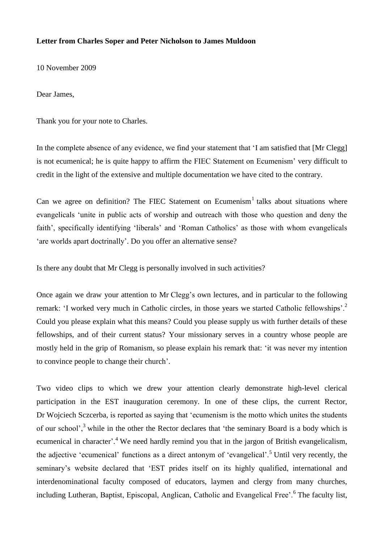## **Letter from Charles Soper and Peter Nicholson to James Muldoon**

10 November 2009

Dear James,

Thank you for your note to Charles.

In the complete absence of any evidence, we find your statement that 'I am satisfied that [Mr Clegg] is not ecumenical; he is quite happy to affirm the FIEC Statement on Ecumenism' very difficult to credit in the light of the extensive and multiple documentation we have cited to the contrary.

Can we agree on definition? The FIEC Statement on Ecumenism<sup>1</sup> talks about situations where evangelicals 'unite in public acts of worship and outreach with those who question and deny the faith', specifically identifying 'liberals' and 'Roman Catholics' as those with whom evangelicals 'are worlds apart doctrinally'. Do you offer an alternative sense?

Is there any doubt that Mr Clegg is personally involved in such activities?

Once again we draw your attention to Mr Clegg's own lectures, and in particular to the following remark: 'I worked very much in Catholic circles, in those years we started Catholic fellowships'.<sup>2</sup> Could you please explain what this means? Could you please supply us with further details of these fellowships, and of their current status? Your missionary serves in a country whose people are mostly held in the grip of Romanism, so please explain his remark that: 'it was never my intention to convince people to change their church'.

Two video clips to which we drew your attention clearly demonstrate high-level clerical participation in the EST inauguration ceremony. In one of these clips, the current Rector, Dr Wojciech Sczcerba, is reported as saying that 'ecumenism is the motto which unites the students of our school',<sup>3</sup> while in the other the Rector declares that 'the seminary Board is a body which is ecumenical in character'.<sup>4</sup> We need hardly remind you that in the jargon of British evangelicalism, the adjective 'ecumenical' functions as a direct antonym of 'evangelical'.<sup>5</sup> Until very recently, the seminary's website declared that 'EST prides itself on its highly qualified, international and interdenominational faculty composed of educators, laymen and clergy from many churches, including Lutheran, Baptist, Episcopal, Anglican, Catholic and Evangelical Free'.<sup>6</sup> The faculty list,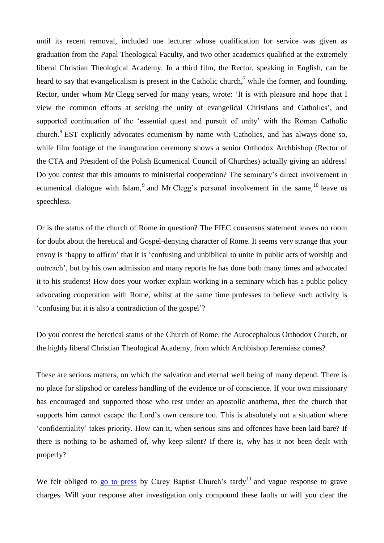until its recent removal, included one lecturer whose qualification for service was given as graduation from the Papal Theological Faculty, and two other academics qualified at the extremely liberal Christian Theological Academy. In a third film, the Rector, speaking in English, can be heard to say that evangelicalism is present in the Catholic church,<sup>7</sup> while the former, and founding, Rector, under whom Mr Clegg served for many years, wrote: 'It is with pleasure and hope that I view the common efforts at seeking the unity of evangelical Christians and Catholics', and supported continuation of the 'essential quest and pursuit of unity' with the Roman Catholic church. $8$  EST explicitly advocates ecumenism by name with Catholics, and has always done so, while film footage of the inauguration ceremony shows a senior Orthodox Archbishop (Rector of the CTA and President of the Polish Ecumenical Council of Churches) actually giving an address! Do you contest that this amounts to ministerial cooperation? The seminary's direct involvement in ecumenical dialogue with Islam,  $9$  and Mr Clegg's personal involvement in the same,  $10$  leave us speechless.

Or is the status of the church of Rome in question? The FIEC consensus statement leaves no room for doubt about the heretical and Gospel-denying character of Rome. It seems very strange that your envoy is 'happy to affirm' that it is 'confusing and unbiblical to unite in public acts of worship and outreach', but by his own admission and many reports he has done both many times and advocated it to his students! How does your worker explain working in a seminary which has a public policy advocating cooperation with Rome, whilst at the same time professes to believe such activity is 'confusing but it is also a contradiction of the gospel'?

Do you contest the heretical status of the Church of Rome, the Autocephalous Orthodox Church, or the highly liberal Christian Theological Academy, from which Archbishop Jeremiasz comes?

These are serious matters, on which the salvation and eternal well being of many depend. There is no place for slipshod or careless handling of the evidence or of conscience. If your own missionary has encouraged and supported those who rest under an apostolic anathema, then the church that supports him cannot escape the Lord's own censure too. This is absolutely not a situation where 'confidentiality' takes priority. How can it, when serious sins and offences have been laid bare? If there is nothing to be ashamed of, why keep silent? If there is, why has it not been dealt with properly?

We felt obliged to [go to press](http://www.strateias.org/downgrade.pdf) by Carey Baptist Church's tardy<sup>11</sup> and vague response to grave charges. Will your response after investigation only compound these faults or will you clear the